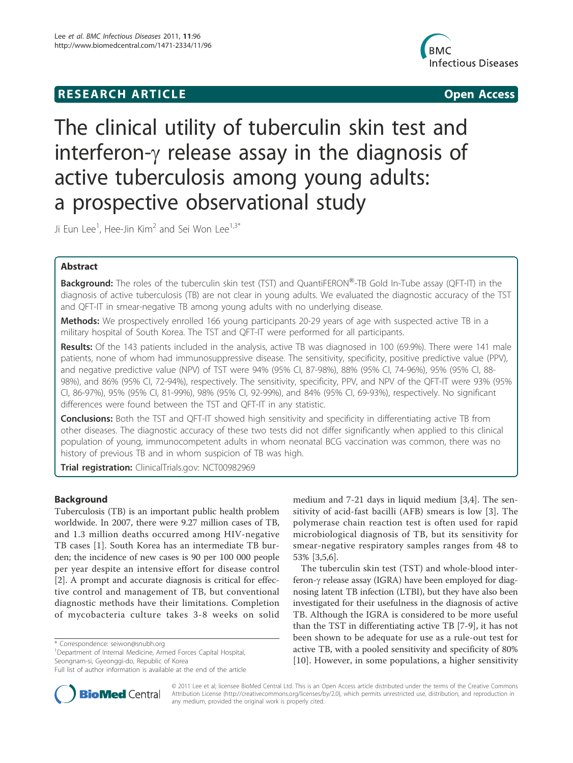## **RESEARCH ARTICLE Example 2018 12:00 Department of the Contract Open Access**



# The clinical utility of tuberculin skin test and interferon- $\gamma$  release assay in the diagnosis of active tuberculosis among young adults: a prospective observational study

Ji Eun Lee $^1$ , Hee-Jin Kim $^2$  and Sei Won Lee $^{1,3^*}$ 

## Abstract

**Background:** The roles of the tuberculin skin test (TST) and QuantiFERON®-TB Gold In-Tube assay (QFT-IT) in the diagnosis of active tuberculosis (TB) are not clear in young adults. We evaluated the diagnostic accuracy of the TST and QFT-IT in smear-negative TB among young adults with no underlying disease.

Methods: We prospectively enrolled 166 young participants 20-29 years of age with suspected active TB in a military hospital of South Korea. The TST and QFT-IT were performed for all participants.

Results: Of the 143 patients included in the analysis, active TB was diagnosed in 100 (69.9%). There were 141 male patients, none of whom had immunosuppressive disease. The sensitivity, specificity, positive predictive value (PPV), and negative predictive value (NPV) of TST were 94% (95% CI, 87-98%), 88% (95% CI, 74-96%), 95% (95% CI, 88- 98%), and 86% (95% CI, 72-94%), respectively. The sensitivity, specificity, PPV, and NPV of the QFT-IT were 93% (95% CI, 86-97%), 95% (95% CI, 81-99%), 98% (95% CI, 92-99%), and 84% (95% CI, 69-93%), respectively. No significant differences were found between the TST and QFT-IT in any statistic.

**Conclusions:** Both the TST and QFT-IT showed high sensitivity and specificity in differentiating active TB from other diseases. The diagnostic accuracy of these two tests did not differ significantly when applied to this clinical population of young, immunocompetent adults in whom neonatal BCG vaccination was common, there was no history of previous TB and in whom suspicion of TB was high.

Trial registration: ClinicalTrials.gov: NCT00982969

## Background

Tuberculosis (TB) is an important public health problem worldwide. In 2007, there were 9.27 million cases of TB, and 1.3 million deaths occurred among HIV-negative TB cases [1]. South Korea has an intermediate TB burden; the incidence of new cases is 90 per 100 000 people per year despite an intensive effort for disease control [2]. A prompt and accurate diagnosis is critical for effective control and management of TB, but conventional diagnostic methods have their limitations. Completion of mycobacteria culture takes 3-8 weeks on solid

\* Correspondence: seiwon@snubh.org

<sup>1</sup>Department of Internal Medicine, Armed Forces Capital Hospital, Seongnam-si, Gyeonggi-do, Republic of Korea



The tuberculin skin test (TST) and whole-blood interferon-g release assay (IGRA) have been employed for diagnosing latent TB infection (LTBI), but they have also been investigated for their usefulness in the diagnosis of active TB. Although the IGRA is considered to be more useful than the TST in differentiating active TB [7-9], it has not been shown to be adequate for use as a rule-out test for active TB, with a pooled sensitivity and specificity of 80% [10]. However, in some populations, a higher sensitivity



© 2011 Lee et al; licensee BioMed Central Ltd. This is an Open Access article distributed under the terms of the Creative Commons Attribution License (http://creativecommons.org/licenses/by/2.0), which permits unrestricted use, distribution, and reproduction in any medium, provided the original work is properly cited.

Full list of author information is available at the end of the article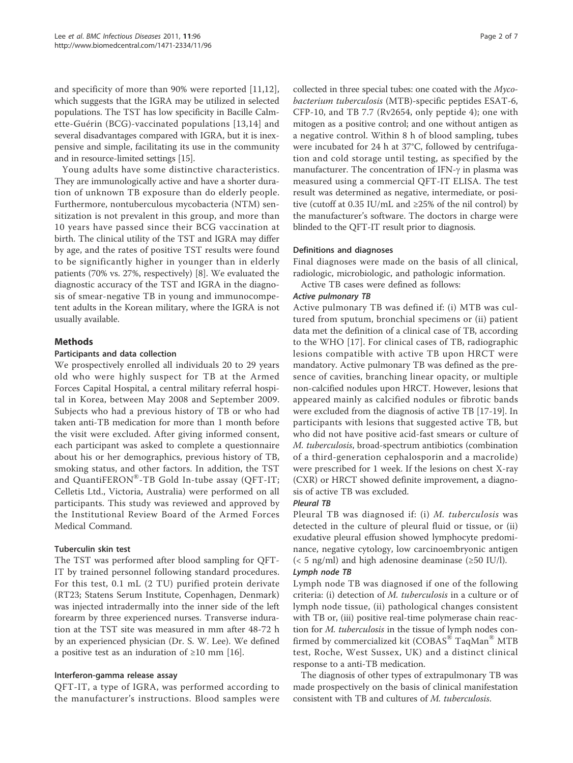and specificity of more than 90% were reported [11,12], which suggests that the IGRA may be utilized in selected populations. The TST has low specificity in Bacille Calmette-Guérin (BCG)-vaccinated populations [13,14] and several disadvantages compared with IGRA, but it is inexpensive and simple, facilitating its use in the community and in resource-limited settings [15].

Young adults have some distinctive characteristics. They are immunologically active and have a shorter duration of unknown TB exposure than do elderly people. Furthermore, nontuberculous mycobacteria (NTM) sensitization is not prevalent in this group, and more than 10 years have passed since their BCG vaccination at birth. The clinical utility of the TST and IGRA may differ by age, and the rates of positive TST results were found to be significantly higher in younger than in elderly patients (70% vs. 27%, respectively) [8]. We evaluated the diagnostic accuracy of the TST and IGRA in the diagnosis of smear-negative TB in young and immunocompetent adults in the Korean military, where the IGRA is not usually available.

## Methods

## Participants and data collection

We prospectively enrolled all individuals 20 to 29 years old who were highly suspect for TB at the Armed Forces Capital Hospital, a central military referral hospital in Korea, between May 2008 and September 2009. Subjects who had a previous history of TB or who had taken anti-TB medication for more than 1 month before the visit were excluded. After giving informed consent, each participant was asked to complete a questionnaire about his or her demographics, previous history of TB, smoking status, and other factors. In addition, the TST and QuantiFERON®-TB Gold In-tube assay (QFT-IT; Celletis Ltd., Victoria, Australia) were performed on all participants. This study was reviewed and approved by the Institutional Review Board of the Armed Forces Medical Command.

## Tuberculin skin test

The TST was performed after blood sampling for QFT-IT by trained personnel following standard procedures. For this test, 0.1 mL (2 TU) purified protein derivate (RT23; Statens Serum Institute, Copenhagen, Denmark) was injected intradermally into the inner side of the left forearm by three experienced nurses. Transverse induration at the TST site was measured in mm after 48-72 h by an experienced physician (Dr. S. W. Lee). We defined a positive test as an induration of  $\geq 10$  mm [16].

#### Interferon-gamma release assay

QFT-IT, a type of IGRA, was performed according to the manufacturer's instructions. Blood samples were collected in three special tubes: one coated with the Mycobacterium tuberculosis (MTB)-specific peptides ESAT-6, CFP-10, and TB 7.7 (Rv2654, only peptide 4); one with mitogen as a positive control; and one without antigen as a negative control. Within 8 h of blood sampling, tubes were incubated for 24 h at 37°C, followed by centrifugation and cold storage until testing, as specified by the manufacturer. The concentration of IFN- $\gamma$  in plasma was measured using a commercial QFT-IT ELISA. The test result was determined as negative, intermediate, or positive (cutoff at 0.35 IU/mL and ≥25% of the nil control) by the manufacturer's software. The doctors in charge were blinded to the QFT-IT result prior to diagnosis.

#### Definitions and diagnoses

Final diagnoses were made on the basis of all clinical, radiologic, microbiologic, and pathologic information.

Active TB cases were defined as follows:

## Active pulmonary TB

Active pulmonary TB was defined if: (i) MTB was cultured from sputum, bronchial specimens or (ii) patient data met the definition of a clinical case of TB, according to the WHO [17]. For clinical cases of TB, radiographic lesions compatible with active TB upon HRCT were mandatory. Active pulmonary TB was defined as the presence of cavities, branching linear opacity, or multiple non-calcified nodules upon HRCT. However, lesions that appeared mainly as calcified nodules or fibrotic bands were excluded from the diagnosis of active TB [17-19]. In participants with lesions that suggested active TB, but who did not have positive acid-fast smears or culture of M. tuberculosis, broad-spectrum antibiotics (combination of a third-generation cephalosporin and a macrolide) were prescribed for 1 week. If the lesions on chest X-ray (CXR) or HRCT showed definite improvement, a diagnosis of active TB was excluded.

## Pleural TB

Pleural TB was diagnosed if: (i) M. tuberculosis was detected in the culture of pleural fluid or tissue, or (ii) exudative pleural effusion showed lymphocyte predominance, negative cytology, low carcinoembryonic antigen  $(< 5$  ng/ml) and high adenosine deaminase ( $\geq 50$  IU/l). Lymph node TB

Lymph node TB was diagnosed if one of the following criteria: (i) detection of M. tuberculosis in a culture or of lymph node tissue, (ii) pathological changes consistent with TB or, (iii) positive real-time polymerase chain reaction for M. tuberculosis in the tissue of lymph nodes confirmed by commercialized kit (COBAS® TaqMan® MTB test, Roche, West Sussex, UK) and a distinct clinical response to a anti-TB medication.

The diagnosis of other types of extrapulmonary TB was made prospectively on the basis of clinical manifestation consistent with TB and cultures of M. tuberculosis.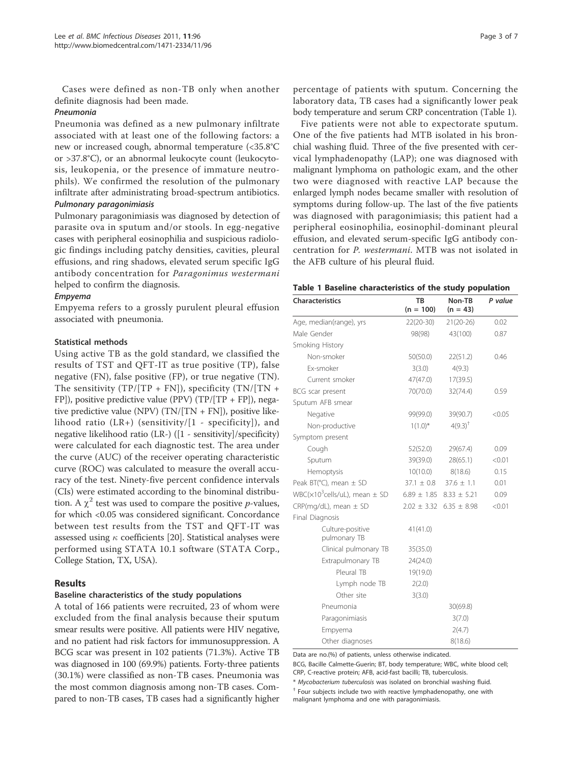Cases were defined as non-TB only when another definite diagnosis had been made.

#### Pneumonia

Pneumonia was defined as a new pulmonary infiltrate associated with at least one of the following factors: a new or increased cough, abnormal temperature (<35.8°C or >37.8°C), or an abnormal leukocyte count (leukocytosis, leukopenia, or the presence of immature neutrophils). We confirmed the resolution of the pulmonary infiltrate after administrating broad-spectrum antibiotics. Pulmonary paragonimiasis

Pulmonary paragonimiasis was diagnosed by detection of parasite ova in sputum and/or stools. In egg-negative cases with peripheral eosinophilia and suspicious radiologic findings including patchy densities, cavities, pleural effusions, and ring shadows, elevated serum specific IgG antibody concentration for Paragonimus westermani helped to confirm the diagnosis.

#### Empyema

Empyema refers to a grossly purulent pleural effusion associated with pneumonia.

#### Statistical methods

Using active TB as the gold standard, we classified the results of TST and QFT-IT as true positive (TP), false negative (FN), false positive (FP), or true negative (TN). The sensitivity (TP/[TP + FN]), specificity (TN/[TN + FP]), positive predictive value (PPV) (TP/[TP + FP]), negative predictive value (NPV)  $(TN/[TN + FN])$ , positive likelihood ratio  $(LR+)$  (sensitivity/ $[1 -$  specificity]), and negative likelihood ratio (LR-) ([1 - sensitivity]/specificity) were calculated for each diagnostic test. The area under the curve (AUC) of the receiver operating characteristic curve (ROC) was calculated to measure the overall accuracy of the test. Ninety-five percent confidence intervals (CIs) were estimated according to the binominal distribution. A  $\chi^2$  test was used to compare the positive *p*-values, for which <0.05 was considered significant. Concordance between test results from the TST and QFT-IT was assessed using  $\kappa$  coefficients [20]. Statistical analyses were performed using STATA 10.1 software (STATA Corp., College Station, TX, USA).

#### Results

## Baseline characteristics of the study populations

A total of 166 patients were recruited, 23 of whom were excluded from the final analysis because their sputum smear results were positive. All patients were HIV negative, and no patient had risk factors for immunosuppression. A BCG scar was present in 102 patients (71.3%). Active TB was diagnosed in 100 (69.9%) patients. Forty-three patients (30.1%) were classified as non-TB cases. Pneumonia was the most common diagnosis among non-TB cases. Compared to non-TB cases, TB cases had a significantly higher

percentage of patients with sputum. Concerning the laboratory data, TB cases had a significantly lower peak body temperature and serum CRP concentration (Table 1).

Five patients were not able to expectorate sputum. One of the five patients had MTB isolated in his bronchial washing fluid. Three of the five presented with cervical lymphadenopathy (LAP); one was diagnosed with malignant lymphoma on pathologic exam, and the other two were diagnosed with reactive LAP because the enlarged lymph nodes became smaller with resolution of symptoms during follow-up. The last of the five patients was diagnosed with paragonimiasis; this patient had a peripheral eosinophilia, eosinophil-dominant pleural effusion, and elevated serum-specific IgG antibody concentration for P. westermani. MTB was not isolated in the AFB culture of his pleural fluid.

|  |  |  | Table 1 Baseline characteristics of the study population |  |  |  |  |
|--|--|--|----------------------------------------------------------|--|--|--|--|
|--|--|--|----------------------------------------------------------|--|--|--|--|

| <b>Characteristics</b>                                 | <b>TB</b><br>$(n = 100)$ | Non-TB<br>$(n = 43)$ | P value |  |
|--------------------------------------------------------|--------------------------|----------------------|---------|--|
| Age, median(range), yrs                                | $22(20-30)$              | $21(20-26)$          | 0.02    |  |
| Male Gender                                            | 98(98)                   | 43(100)              | 0.87    |  |
| Smoking History                                        |                          |                      |         |  |
| Non-smoker                                             | 50(50.0)                 | 22(51.2)             | 0.46    |  |
| Ex-smoker                                              | 3(3.0)                   | 4(9.3)               |         |  |
| Current smoker                                         | 47(47.0)                 | 17(39.5)             |         |  |
| BCG scar present                                       | 70(70.0)                 | 32(74.4)             | 0.59    |  |
| Sputum AFB smear                                       |                          |                      |         |  |
| Negative                                               | 99(99.0)                 | 39(90.7)             | < 0.05  |  |
| Non-productive                                         | $1(1.0)^{*}$             | $4(9.3)^{+}$         |         |  |
| Symptom present                                        |                          |                      |         |  |
| Cough                                                  | 52(52.0)                 | 29(67.4)             | 0.09    |  |
| Sputum                                                 | 39(39.0)                 | 28(65.1)             | < 0.01  |  |
| Hemoptysis                                             | 10(10.0)                 | 8(18.6)              | 0.15    |  |
| Peak BT(°C), mean ± SD                                 | $37.1 \pm 0.8$           | $37.6 \pm 1.1$       | 0.01    |  |
| WBC( $\times$ 10 <sup>3</sup> cells/uL), mean $\pm$ SD | $6.89 \pm 1.85$          | $8.33 \pm 5.21$      | 0.09    |  |
| $CRP(mq/dL)$ , mean $\pm$ SD                           | $2.02 \pm 3.32$          | $6.35 \pm 8.98$      | < 0.01  |  |
| Final Diagnosis                                        |                          |                      |         |  |
| Culture-positive<br>pulmonary TB                       | 41(41.0)                 |                      |         |  |
| Clinical pulmonary TB                                  | 35(35.0)                 |                      |         |  |
| Extrapulmonary TB                                      | 24(24.0)                 |                      |         |  |
| Pleural TB                                             | 19(19.0)                 |                      |         |  |
| Lymph node TB                                          | 2(2.0)                   |                      |         |  |
| Other site                                             | 3(3.0)                   |                      |         |  |
| Pneumonia                                              |                          | 30(69.8)             |         |  |
| Paragonimiasis                                         |                          | 3(7.0)               |         |  |
| Empyema                                                |                          | 2(4.7)               |         |  |
| Other diagnoses                                        |                          | 8(18.6)              |         |  |

Data are no.(%) of patients, unless otherwise indicated.

BCG, Bacille Calmette-Guerin; BT, body temperature; WBC, white blood cell; CRP, C-reactive protein; AFB, acid-fast bacilli; TB, tuberculosis.

\* Mycobacterium tuberculosis was isolated on bronchial washing fluid.

† Four subjects include two with reactive lymphadenopathy, one with

malignant lymphoma and one with paragonimiasis.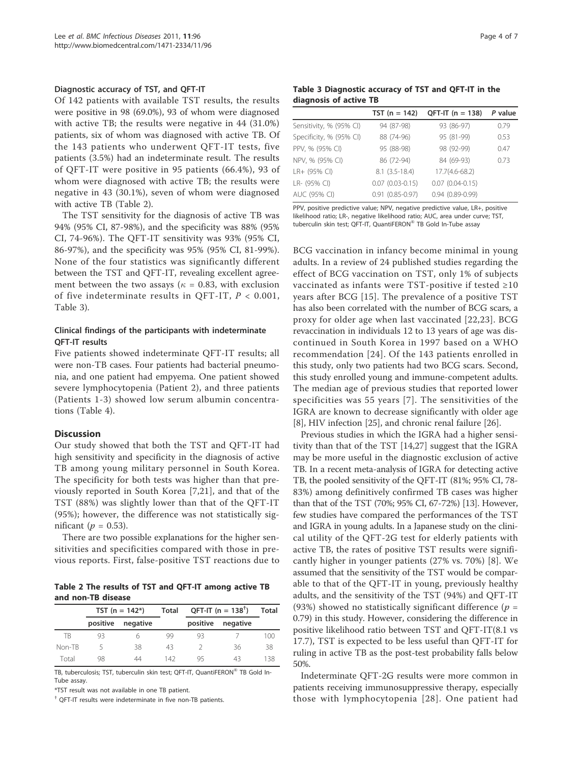#### Diagnostic accuracy of TST, and QFT-IT

Of 142 patients with available TST results, the results were positive in 98 (69.0%), 93 of whom were diagnosed with active TB; the results were negative in 44 (31.0%) patients, six of whom was diagnosed with active TB. Of the 143 patients who underwent QFT-IT tests, five patients (3.5%) had an indeterminate result. The results of QFT-IT were positive in 95 patients (66.4%), 93 of whom were diagnosed with active TB; the results were negative in 43 (30.1%), seven of whom were diagnosed with active TB (Table 2).

The TST sensitivity for the diagnosis of active TB was 94% (95% CI, 87-98%), and the specificity was 88% (95% CI, 74-96%). The QFT-IT sensitivity was 93% (95% CI, 86-97%), and the specificity was 95% (95% CI, 81-99%). None of the four statistics was significantly different between the TST and QFT-IT, revealing excellent agreement between the two assays ( $\kappa$  = 0.83, with exclusion of five indeterminate results in QFT-IT,  $P < 0.001$ , Table 3).

## Clinical findings of the participants with indeterminate QFT-IT results

Five patients showed indeterminate QFT-IT results; all were non-TB cases. Four patients had bacterial pneumonia, and one patient had empyema. One patient showed severe lymphocytopenia (Patient 2), and three patients (Patients 1-3) showed low serum albumin concentrations (Table 4).

#### **Discussion**

Our study showed that both the TST and QFT-IT had high sensitivity and specificity in the diagnosis of active TB among young military personnel in South Korea. The specificity for both tests was higher than that previously reported in South Korea [7,21], and that of the TST (88%) was slightly lower than that of the QFT-IT (95%); however, the difference was not statistically significant ( $p = 0.53$ ).

There are two possible explanations for the higher sensitivities and specificities compared with those in previous reports. First, false-positive TST reactions due to

Table 2 The results of TST and QFT-IT among active TB and non-TB disease

|        |          | TST ( $n = 142^*$ ) | <b>Total</b> |          | $QFT-IT (n = 138†)$ |     |  |  |
|--------|----------|---------------------|--------------|----------|---------------------|-----|--|--|
|        | positive | negative            |              | positive | negative            |     |  |  |
| ТR     | 93       | h                   | 99           | 93       |                     | 100 |  |  |
| Non-TB |          | 38                  | 43           |          | 36                  | 38  |  |  |
| Total  | 98       | 44                  | 142          | 95       | 43                  | 138 |  |  |

TB, tuberculosis; TST, tuberculin skin test; QFT-IT, QuantiFERON® TB Gold In-Tube assay.

\*TST result was not available in one TB patient.

† QFT-IT results were indeterminate in five non-TB patients.

| Table 3 Diagnostic accuracy of TST and QFT-IT in the |  |  |  |  |
|------------------------------------------------------|--|--|--|--|
| diagnosis of active TB                               |  |  |  |  |

|                         | $TST (n = 142)$        | $QFT-IT (n = 138)$     | P value |
|-------------------------|------------------------|------------------------|---------|
| Sensitivity, % (95% CI) | 94 (87-98)             | 93 (86-97)             | 0.79    |
| Specificity, % (95% CI) | 88 (74-96)             | 95 (81-99)             | 0.53    |
| PPV, % (95% CI)         | 95 (88-98)             | 98 (92-99)             | 0.47    |
| NPV, % (95% CI)         | 86 (72-94)             | 84 (69-93)             | 0.73    |
| LR+ (95% CI)            | $8.1$ $(3.5-18.4)$     | 17.7(4.6-68.2)         |         |
| LR- (95% CI)            | $0.07$ $(0.03 - 0.15)$ | $0.07$ $(0.04 - 0.15)$ |         |
| AUC (95% CI)            | $0.91$ $(0.85 - 0.97)$ | $0.94(0.89 - 0.99)$    |         |
|                         |                        |                        |         |

PPV, positive predictive value; NPV, negative predictive value, LR+, positive likelihood ratio; LR-, negative likelihood ratio; AUC, area under curve; TST, tuberculin skin test; QFT-IT, QuantiFERON® TB Gold In-Tube assay

BCG vaccination in infancy become minimal in young adults. In a review of 24 published studies regarding the effect of BCG vaccination on TST, only 1% of subjects vaccinated as infants were TST-positive if tested ≥10 years after BCG [15]. The prevalence of a positive TST has also been correlated with the number of BCG scars, a proxy for older age when last vaccinated [22,23]. BCG revaccination in individuals 12 to 13 years of age was discontinued in South Korea in 1997 based on a WHO recommendation [24]. Of the 143 patients enrolled in this study, only two patients had two BCG scars. Second, this study enrolled young and immune-competent adults. The median age of previous studies that reported lower specificities was 55 years [7]. The sensitivities of the IGRA are known to decrease significantly with older age [8], HIV infection [25], and chronic renal failure [26].

Previous studies in which the IGRA had a higher sensitivity than that of the TST [14,27] suggest that the IGRA may be more useful in the diagnostic exclusion of active TB. In a recent meta-analysis of IGRA for detecting active TB, the pooled sensitivity of the QFT-IT (81%; 95% CI, 78- 83%) among definitively confirmed TB cases was higher than that of the TST (70%; 95% CI, 67-72%) [13]. However, few studies have compared the performances of the TST and IGRA in young adults. In a Japanese study on the clinical utility of the QFT-2G test for elderly patients with active TB, the rates of positive TST results were significantly higher in younger patients (27% vs. 70%) [8]. We assumed that the sensitivity of the TST would be comparable to that of the QFT-IT in young, previously healthy adults, and the sensitivity of the TST (94%) and QFT-IT (93%) showed no statistically significant difference ( $p =$ 0.79) in this study. However, considering the difference in positive likelihood ratio between TST and QFT-IT(8.1 vs 17.7), TST is expected to be less useful than QFT-IT for ruling in active TB as the post-test probability falls below 50%.

Indeterminate QFT-2G results were more common in patients receiving immunosuppressive therapy, especially those with lymphocytopenia [28]. One patient had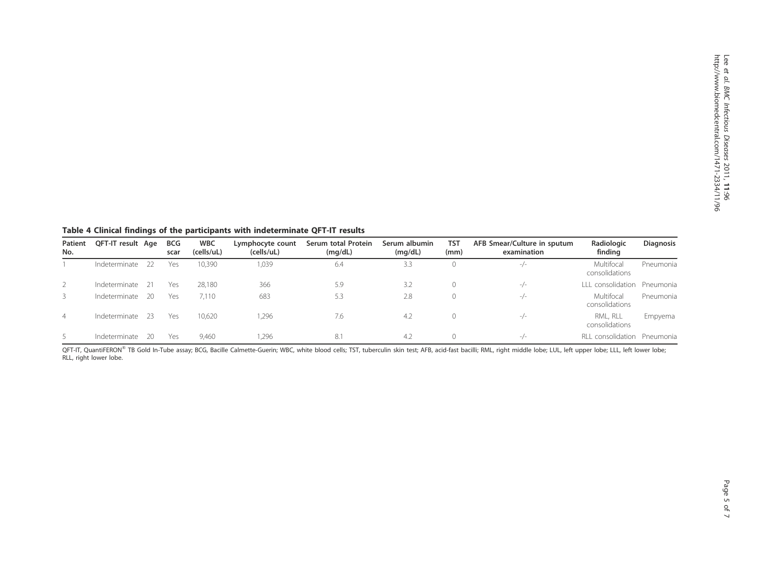Table 4 Clinical findings of the participants with indeterminate QFT-IT results

| Patient<br>No. | QFT-IT result Age |     | <b>BCG</b><br>scar | <b>WBC</b><br>(cells/uL) | Lymphocyte count<br>(cells/uL) | Serum total Protein<br>(mq/dL) | Serum albumin<br>(mq/dL) | <b>TST</b><br>(mm) | AFB Smear/Culture in sputum<br>examination | Radiologic<br>finding        | <b>Diagnosis</b> |
|----------------|-------------------|-----|--------------------|--------------------------|--------------------------------|--------------------------------|--------------------------|--------------------|--------------------------------------------|------------------------------|------------------|
|                | Indeterminate     | 22  | Yes                | 10,390                   | 1,039                          | 6.4                            | 3.3                      | 0                  | $-/-$                                      | Multifocal<br>consolidations | Pneumonia        |
|                | Indeterminate     | -21 | Yes                | 28.180                   | 366                            | 5.9                            | 3.2                      | 0                  | $-/-$                                      | LLL consolidation Pneumonia  |                  |
|                | Indeterminate     | 20  | Yes                | 7.110                    | 683                            | 5.3                            | 2.8                      | 0                  | $-/-$                                      | Multifocal<br>consolidations | Pneumonia        |
| $\overline{4}$ | Indeterminate     | 23  | Yes                | 10.620                   | 1,296                          | 7.6                            | -4.2                     | 0                  | $-/-$                                      | RML, RLL<br>consolidations   | Empyema          |
|                | Indeterminate     | 20  | Yes                | 9.460                    | .296                           | 8.1                            | 4.2                      |                    | $-/-$                                      | RLL consolidation Pneumonia  |                  |

QFT-IT, QuantiFERON® TB Gold In-Tube assay; BCG, Bacille Calmette-Guerin; WBC, white blood cells; TST, tuberculin skin test; AFB, acid-fast bacilli; RML, right middle lobe; LUL, left upper lobe; LLL, left lower lobe; LLL, RLL, right lower lobe.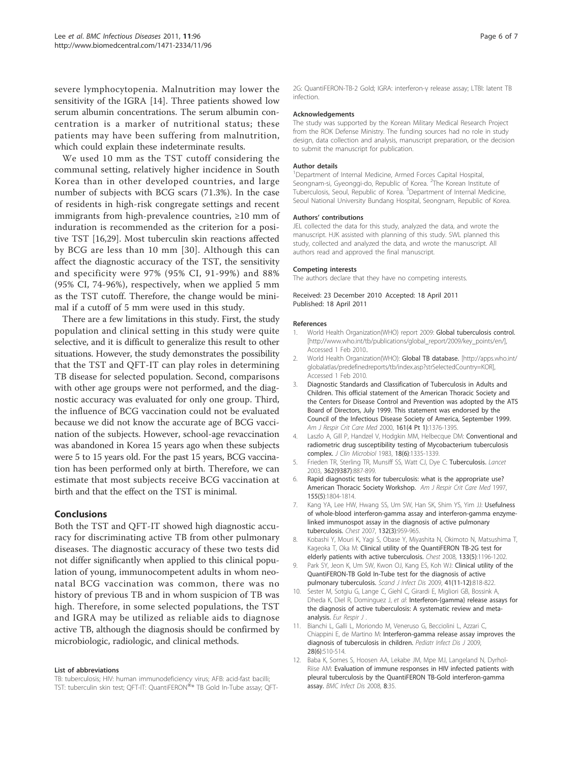severe lymphocytopenia. Malnutrition may lower the sensitivity of the IGRA [14]. Three patients showed low serum albumin concentrations. The serum albumin concentration is a marker of nutritional status; these patients may have been suffering from malnutrition, which could explain these indeterminate results.

We used 10 mm as the TST cutoff considering the communal setting, relatively higher incidence in South Korea than in other developed countries, and large number of subjects with BCG scars (71.3%). In the case of residents in high-risk congregate settings and recent immigrants from high-prevalence countries, ≥10 mm of induration is recommended as the criterion for a positive TST [16,29]. Most tuberculin skin reactions affected by BCG are less than 10 mm [30]. Although this can affect the diagnostic accuracy of the TST, the sensitivity and specificity were 97% (95% CI, 91-99%) and 88% (95% CI, 74-96%), respectively, when we applied 5 mm as the TST cutoff. Therefore, the change would be minimal if a cutoff of 5 mm were used in this study.

There are a few limitations in this study. First, the study population and clinical setting in this study were quite selective, and it is difficult to generalize this result to other situations. However, the study demonstrates the possibility that the TST and QFT-IT can play roles in determining TB disease for selected population. Second, comparisons with other age groups were not performed, and the diagnostic accuracy was evaluated for only one group. Third, the influence of BCG vaccination could not be evaluated because we did not know the accurate age of BCG vaccination of the subjects. However, school-age revaccination was abandoned in Korea 15 years ago when these subjects were 5 to 15 years old. For the past 15 years, BCG vaccination has been performed only at birth. Therefore, we can estimate that most subjects receive BCG vaccination at birth and that the effect on the TST is minimal.

#### Conclusions

Both the TST and QFT-IT showed high diagnostic accuracy for discriminating active TB from other pulmonary diseases. The diagnostic accuracy of these two tests did not differ significantly when applied to this clinical population of young, immunocompetent adults in whom neonatal BCG vaccination was common, there was no history of previous TB and in whom suspicion of TB was high. Therefore, in some selected populations, the TST and IGRA may be utilized as reliable aids to diagnose active TB, although the diagnosis should be confirmed by microbiologic, radiologic, and clinical methods.

#### List of abbreviations

TB: tuberculosis; HIV: human immunodeficiency virus; AFB: acid-fast bacilli; TST: tuberculin skin test; QFT-IT: QuantiFERON®® TB Gold In-Tube assay; QFT- 2G: QuantiFERON-TB-2 Gold; IGRA: interferon-γ release assay; LTBI: latent TB infection.

#### Acknowledgements

The study was supported by the Korean Military Medical Research Project from the ROK Defense Ministry. The funding sources had no role in study design, data collection and analysis, manuscript preparation, or the decision to submit the manuscript for publication.

#### Author details

<sup>1</sup>Department of Internal Medicine, Armed Forces Capital Hospital, Seongnam-si, Gyeonggi-do, Republic of Korea. <sup>2</sup>The Korean Institute of Tuberculosis, Seoul, Republic of Korea. <sup>3</sup>Department of Internal Medicine Seoul National University Bundang Hospital, Seongnam, Republic of Korea.

#### Authors' contributions

JEL collected the data for this study, analyzed the data, and wrote the manuscript. HJK assisted with planning of this study. SWL planned this study, collected and analyzed the data, and wrote the manuscript. All authors read and approved the final manuscript.

#### Competing interests

The authors declare that they have no competing interests.

Received: 23 December 2010 Accepted: 18 April 2011 Published: 18 April 2011

#### References

- 1. World Health Organization(WHO) report 2009: Global tuberculosis control. [http://www.who.int/tb/publications/global\_report/2009/key\_points/en/], Accessed 1 Feb 2010..
- 2. World Health Organization(WHO): Global TB database. [http://apps.who.int/ globalatlas/predefinedreports/tb/index.asp?strSelectedCountry=KOR], Accessed 1 Feb 2010.
- 3. Diagnostic Standards and Classification of Tuberculosis in Adults and Children. This official statement of the American Thoracic Society and the Centers for Disease Control and Prevention was adopted by the ATS Board of Directors, July 1999. This statement was endorsed by the Council of the Infectious Disease Society of America, September 1999. Am J Respir Crit Care Med 2000, 161(4 Pt 1):1376-1395.
- 4. Laszlo A, Gill P, Handzel V, Hodgkin MM, Helbecque DM: Conventional and radiometric drug susceptibility testing of Mycobacterium tuberculosis complex. J Clin Microbiol 1983, 18(6):1335-1339.
- 5. Frieden TR, Sterling TR, Munsiff SS, Watt CJ, Dye C: Tuberculosis. Lancet 2003, 362(9387):887-899.
- 6. Rapid diagnostic tests for tuberculosis: what is the appropriate use? American Thoracic Society Workshop. Am J Respir Crit Care Med 1997, 155(5):1804-1814.
- 7. Kang YA, Lee HW, Hwang SS, Um SW, Han SK, Shim YS, Yim JJ: Usefulness of whole-blood interferon-gamma assay and interferon-gamma enzymelinked immunospot assay in the diagnosis of active pulmonary tuberculosis. Chest 2007, 132(3):959-965.
- 8. Kobashi Y, Mouri K, Yagi S, Obase Y, Miyashita N, Okimoto N, Matsushima T, Kageoka T, Oka M: Clinical utility of the QuantiFERON TB-2G test for elderly patients with active tuberculosis. Chest 2008, 133(5):1196-1202.
- 9. Park SY, Jeon K, Um SW, Kwon OJ, Kang ES, Koh WJ: Clinical utility of the QuantiFERON-TB Gold In-Tube test for the diagnosis of active pulmonary tuberculosis. Scand J Infect Dis 2009, 41(11-12):818-822.
- 10. Sester M, Sotgiu G, Lange C, Giehl C, Girardi E, Migliori GB, Bossink A, Dheda K, Diel R, Dominguez J, et al: Interferon-{gamma} release assays for the diagnosis of active tuberculosis: A systematic review and metaanalysis. Eur Respir J.
- 11. Bianchi L, Galli L, Moriondo M, Veneruso G, Becciolini L, Azzari C, Chiappini E, de Martino M: Interferon-gamma release assay improves the diagnosis of tuberculosis in children. Pediatr Infect Dis J 2009, 28(6):510-514.
- 12. Baba K, Sornes S, Hoosen AA, Lekabe JM, Mpe MJ, Langeland N, Dyrhol-Riise AM: Evaluation of immune responses in HIV infected patients with pleural tuberculosis by the QuantiFERON TB-Gold interferon-gamma assay. BMC Infect Dis 2008, 8:35.